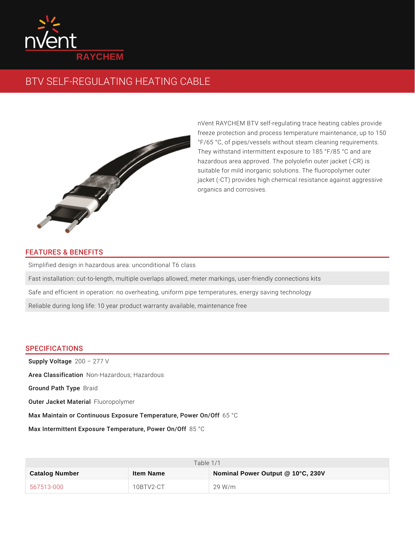

## BTV SELF-REGULATING HEATING CABLE

nVent RAYCHEM BTV self-regulating trace hea freeze protection and process temperature ma °F/65 °C, of pipes/vessels without steam clear They withstand intermittent exposure to 185 ° hazardous area approved. The polyolefin outer suitable for mild inorganic solutions. The fluo jacket (-CT) provides high chemical resistance organics and corrosives.

## FEATURES & BENEFITS

Simplified design in hazardous area: unconditional T6 class Fast installation: cut-to-length, multiple overlaps allowed, meter markings, user-f Safe and efficient in operation: no overheating, uniform pipe temperatures, energy Reliable during long life: 10 year product warranty available, maintenance free

## SPECIFICATIONS

Supply Voltage 277 V Area Classificani+oHmazardous; Hazardous Ground Path Bill Tayipde Outer Jacket MFaltunericaplolymer Max Maintain or Continuous Exposure Tem p5eraCture, Power On/Off Max Intermittent Exposure Tempera8t5ur°eC, Power On/Off

| Table 1/1      |                 |                                   |  |  |
|----------------|-----------------|-----------------------------------|--|--|
| Catalog Number | Item Name       | Nominal Power Output @ 10°C, 230V |  |  |
| 567513-000     | $10BTV2$ - $CT$ | 29 W/m                            |  |  |